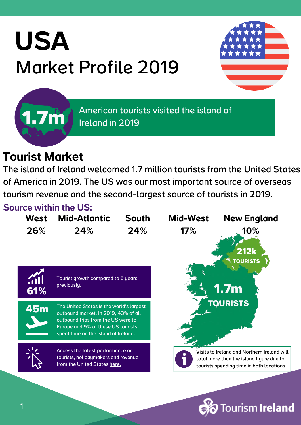# USA Market Profile 2019



American tourists visited the island of Ireland in 2019

### Tourist Market

**1.7m**

The island of Ireland welcomed 1.7 million tourists from the United States of America in 2019. The US was our most important source of overseas tourism revenue and the second-largest source of tourists in 2019.

### Source within the US:

| 26%<br>24%<br>24%<br>17%<br>10%<br><b>212k</b><br><b>TOURISTS</b>                                                                                                                                                                               |  |
|-------------------------------------------------------------------------------------------------------------------------------------------------------------------------------------------------------------------------------------------------|--|
|                                                                                                                                                                                                                                                 |  |
| Tourist growth compared to 5 years<br><b>Sill</b><br>previously.<br>1.7 <sub>m</sub><br>61%                                                                                                                                                     |  |
| <b>TOURISTS</b><br>The United States is the world's largest<br><b>45m</b><br>outbound market. In 2019, 43% of all<br>outbound trips from the US were to<br>Europe and 9% of these US tourists<br>spent time on the island of Ireland.           |  |
| Access the latest performance on<br>Visits to Ireland and Northern Ireland will<br>tourists, holidaymakers and revenue<br>total more than the island figure due to<br>from the United States here.<br>tourists spending time in both locations. |  |

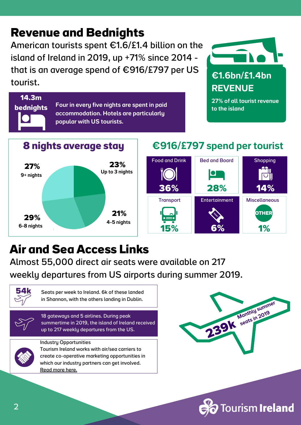### **Revenue and Bednights**

American tourists spent €1.6/£1.4 billion on the island of Ireland in 2019, up +71% since 2014 that is an average spend of €916/£797 per US tourist.

> Four in every five nights are spent in paid accommodation. Hotels are particularly

popular with US tourists.



# **REVENUE**

27% of all tourist revenue to the island



### €916/£797 spend per tourist



### **Air and Sea Access Links**

Almost 55,000 direct air seats were available on 217 weekly departures from US airports during summer 2019.



**14.3m**

**bednights**

Seats per week to Ireland. 6k of these landed in Shannon, with the others landing in Dublin.



18 gateways and 5 airlines. During peak summertime in 2019, the island of Ireland received up to 217 weekly departures from the US.



Industry [Opportunities](https://www.tourismirelandindustryopportunities.com/overseas-markets/north-america/usa) Tourism Ireland works with air/sea carriers to

create co-operative marketing [opportunities](https://www.tourismirelandindustryopportunities.com/overseas-markets/north-america/usa) in which our industry partners can get involved. [Read](https://www.tourismirelandindustryopportunities.com/overseas-markets/north-america/usa) more here.



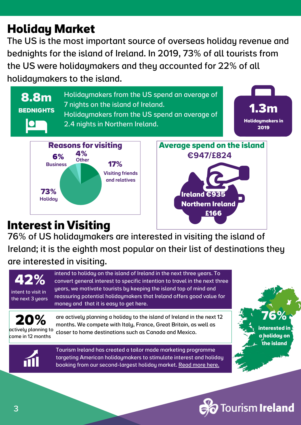3

Tourism Ireland has created a tailor made marketing programme targeting American holidaymakers to stimulate interest and holiday actively planning to come in 12 months

booking from our [second-largest](https://www.tourismirelandindustryopportunities.com/overseas-markets/north-america/usa) holiday market. [Read](https://www.tourismirelandindustryopportunities.com/overseas-markets/north-america/usa) more here.

are actively planning a holiday to the island of Ireland in the next 12 months. We compete with Italy, France, Great Britain, as well as closer to home destinations such as Canada and Mexico.

intend to holiday on the island of Ireland in the next three years. To convert general interest to specific intention to travel in the next three years, we motivate tourists by keeping the island top of mind and reassuring potential holidaymakers that Ireland offers good value for money and that it is easy to get here.

**Interest in Visiting** 

**42%**

intent to visit in the next 3 years

**20%**

76% of US holidaymakers are interested in visiting the island of Ireland; it is the eighth most popular on their list of destinations they are interested in visiting.

## **73%**

## **Holiday Market**

Holidaymakers from the US spend an average of **8.8m** 7 nights on the island of Ireland. Holidaymakers from the US spend an average of **BEDNIGHTS 1.3m Holidaymakers in**  $\Omega$ 2.4 nights in Northern Ireland. **2019 Average spend on the island Reasons for visiting 4%** €947/£824 **6% Other 17% Business** 6% 17% (17% of 17%) Visiting friends and relatives **Ireland €935 Holiday Northern Ireland £166**

## The US is the most important source of overseas holiday revenue and bednights for the island of Ireland. In 2019, 73% of all tourists from the US were holidaymakers and they accounted for 22% of all holidaymakers to the island.



**76% interested in**

**a holiday on the island**

**Tourism Ireland**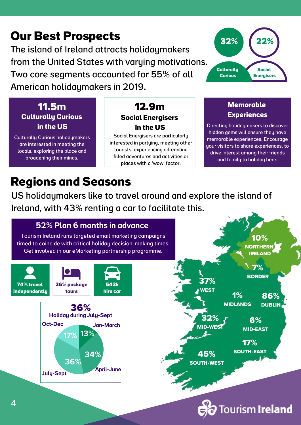### **Our Best Prospects**

The island of Ireland attracts holidaymakers from the United States with varying motivations. Two core segments accounted for 55% of all American holidaymakers in 2019.

### **Culturally Curious in the US 11.5m**

Culturally Curious holidaymakers are interested in meeting the locals, exploring the place and broadening their minds.

#### **12.9m Social Energisers in the US**

Social Energisers are particularly interested in partying, meeting other tourists, experiencing adrenaline filled adventures and activities or places with a 'wow' factor.



#### **Memorable Experiences**

Directing holidaymakers to discover hidden gems will ensure they have memorable experiences. Encourage your visitors to share experiences, to drive interest among their friends and family to holiday here.

**Tourism Ireland** 

### **Regions and Seasons**

US holidaymakers like to travel around and explore the island of Ireland, with 43% renting a car to facilitate this.

#### 36% (Sept.) 34% Oct-Dec Jan-March Tourism Ireland runs [targeted](https://www.tourismireland.com/Marketing/North-America/USA) email marketing campaigns timed to coincide with critical holiday [decision-making](https://www.tourismireland.com/Marketing/North-America/USA) times. Get involved in our eMarketing partnership programme. **32% MID-WEST 6% MID-EAST 36%** 52% Plan 6 months in [advance](https://www.tourismireland.com/Marketing/North-America/USA) Holiday during July-Sept **37% WEST 10% NORTHERN IRELAND 45% SOUTH-WEST 17% SOUTH-EAST 86% DUBLIN** 13% April-June 34% 36% July-Sept 17% **74% travel independently 26% package tours 543k hire car 7% BORDER 1% MIDLANDS**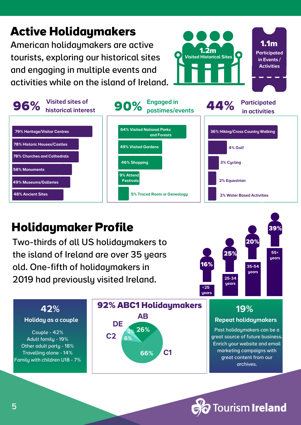### American holidaymakers are active **Active Holidaymakers**

tourists, exploring our historical sites and engaging in multiple events and activities while on the island of Ireland.



### **Holidaymaker Profile**

Two-thirds of all US holidaymakers to the island of Ireland are over 35 years old. One-fifth of holidaymakers in 2019 had previously visited Ireland.



**1.1m** Participated in Events / **Activities** 

**1.2m** Visited Historical Sites